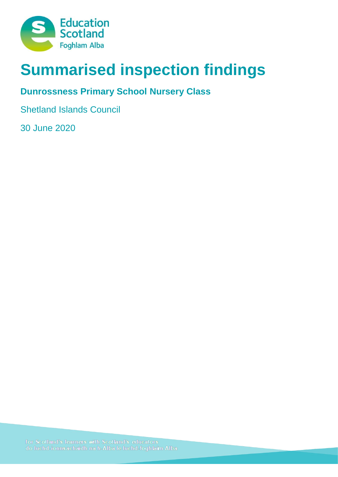

# **Summarised inspection findings**

## **Dunrossness Primary School Nursery Class**

Shetland Islands Council

30 June 2020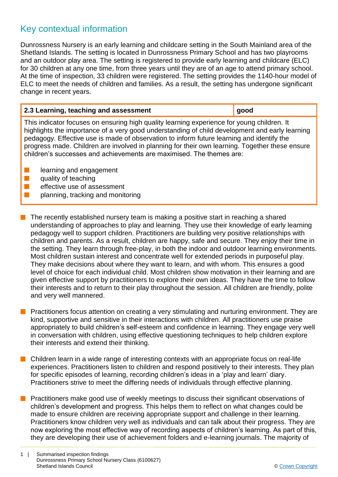### Key contextual information

Dunrossness Nursery is an early learning and childcare setting in the South Mainland area of the Shetland Islands. The setting is located in Dunrossness Primary School and has two playrooms and an outdoor play area. The setting is registered to provide early learning and childcare (ELC) for 30 children at any one time, from three years until they are of an age to attend primary school. At the time of inspection, 33 children were registered. The setting provides the 1140-hour model of ELC to meet the needs of children and families. As a result, the setting has undergone significant change in recent years.

| 2.3 Learning, teaching and assessment                                                                                                                                                                                                                                                                                                                                                                                                                               | good |  |
|---------------------------------------------------------------------------------------------------------------------------------------------------------------------------------------------------------------------------------------------------------------------------------------------------------------------------------------------------------------------------------------------------------------------------------------------------------------------|------|--|
| This indicator focuses on ensuring high quality learning experience for young children. It<br>highlights the importance of a very good understanding of child development and early learning<br>pedagogy. Effective use is made of observation to inform future learning and identify the<br>progress made. Children are involved in planning for their own learning. Together these ensure<br>children's successes and achievements are maximised. The themes are: |      |  |
| learning and engagement<br>quality of teaching<br>effective use of assessment<br>planning, tracking and monitoring                                                                                                                                                                                                                                                                                                                                                  |      |  |

- The recently established nursery team is making a positive start in reaching a shared understanding of approaches to play and learning. They use their knowledge of early learning pedagogy well to support children. Practitioners are building very positive relationships with children and parents. As a result, children are happy, safe and secure. They enjoy their time in the setting. They learn through free-play, in both the indoor and outdoor learning environments. Most children sustain interest and concentrate well for extended periods in purposeful play. They make decisions about where they want to learn, and with whom. This ensures a good level of choice for each individual child. Most children show motivation in their learning and are given effective support by practitioners to explore their own ideas. They have the time to follow their interests and to return to their play throughout the session. All children are friendly, polite and very well mannered.
- Practitioners focus attention on creating a very stimulating and nurturing environment. They are kind, supportive and sensitive in their interactions with children. All practitioners use praise appropriately to build children's self-esteem and confidence in learning. They engage very well in conversation with children, using effective questioning techniques to help children explore their interests and extend their thinking.
- n Children learn in a wide range of interesting contexts with an appropriate focus on real-life experiences. Practitioners listen to children and respond positively to their interests. They plan for specific episodes of learning, recording children's ideas in a 'play and learn' diary. Practitioners strive to meet the differing needs of individuals through effective planning.
- n Practitioners make good use of weekly meetings to discuss their significant observations of children's development and progress. This helps them to reflect on what changes could be made to ensure children are receiving appropriate support and challenge in their learning. Practitioners know children very well as individuals and can talk about their progress. They are now exploring the most effective way of recording aspects of children's learning. As part of this, they are developing their use of achievement folders and e-learning journals. The majority of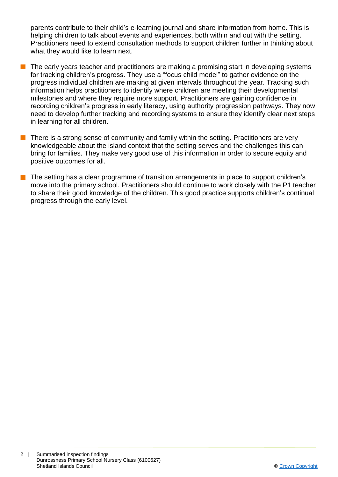parents contribute to their child's e-learning journal and share information from home. This is helping children to talk about events and experiences, both within and out with the setting. Practitioners need to extend consultation methods to support children further in thinking about what they would like to learn next.

- The early years teacher and practitioners are making a promising start in developing systems for tracking children's progress. They use a "focus child model" to gather evidence on the progress individual children are making at given intervals throughout the year. Tracking such information helps practitioners to identify where children are meeting their developmental milestones and where they require more support. Practitioners are gaining confidence in recording children's progress in early literacy, using authority progression pathways. They now need to develop further tracking and recording systems to ensure they identify clear next steps in learning for all children.
- $\blacksquare$  There is a strong sense of community and family within the setting. Practitioners are very knowledgeable about the island context that the setting serves and the challenges this can bring for families. They make very good use of this information in order to secure equity and positive outcomes for all.
- The setting has a clear programme of transition arrangements in place to support children's move into the primary school. Practitioners should continue to work closely with the P1 teacher to share their good knowledge of the children. This good practice supports children's continual progress through the early level.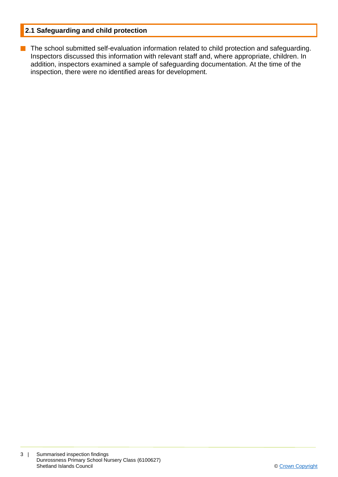#### **2.1 Safeguarding and child protection**

**n** The school submitted self-evaluation information related to child protection and safeguarding. Inspectors discussed this information with relevant staff and, where appropriate, children. In addition, inspectors examined a sample of safeguarding documentation. At the time of the inspection, there were no identified areas for development.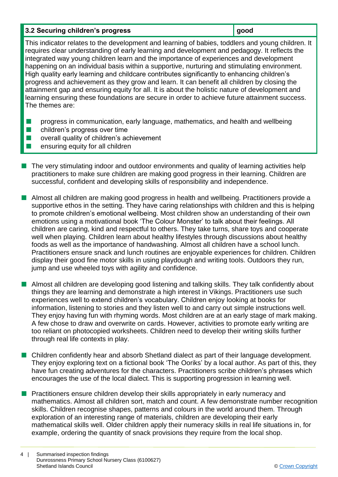#### **3.2 Securing children's progress <b>good good**

This indicator relates to the development and learning of babies, toddlers and young children. It requires clear understanding of early learning and development and pedagogy. It reflects the integrated way young children learn and the importance of experiences and development happening on an individual basis within a supportive, nurturing and stimulating environment. High quality early learning and childcare contributes significantly to enhancing children's progress and achievement as they grow and learn. It can benefit all children by closing the attainment gap and ensuring equity for all. It is about the holistic nature of development and learning ensuring these foundations are secure in order to achieve future attainment success. The themes are:

- **n** progress in communication, early language, mathematics, and health and wellbeing
- $\blacksquare$  children's progress over time
- $\blacksquare$  overall quality of children's achievement
- n ensuring equity for all children
- $\blacksquare$  The very stimulating indoor and outdoor environments and quality of learning activities help practitioners to make sure children are making good progress in their learning. Children are successful, confident and developing skills of responsibility and independence.
- Almost all children are making good progress in health and wellbeing. Practitioners provide a supportive ethos in the setting. They have caring relationships with children and this is helping to promote children's emotional wellbeing. Most children show an understanding of their own emotions using a motivational book 'The Colour Monster' to talk about their feelings. All children are caring, kind and respectful to others. They take turns, share toys and cooperate well when playing. Children learn about healthy lifestyles through discussions about healthy foods as well as the importance of handwashing. Almost all children have a school lunch. Practitioners ensure snack and lunch routines are enjoyable experiences for children. Children display their good fine motor skills in using playdough and writing tools. Outdoors they run, jump and use wheeled toys with agility and confidence.
- n Almost all children are developing good listening and talking skills. They talk confidently about things they are learning and demonstrate a high interest in Vikings. Practitioners use such experiences well to extend children's vocabulary. Children enjoy looking at books for information, listening to stories and they listen well to and carry out simple instructions well. They enjoy having fun with rhyming words. Most children are at an early stage of mark making. A few chose to draw and overwrite on cards. However, activities to promote early writing are too reliant on photocopied worksheets. Children need to develop their writing skills further through real life contexts in play.
- n Children confidently hear and absorb Shetland dialect as part of their language development. They enjoy exploring text on a fictional book 'The Ooriks' by a local author. As part of this, they have fun creating adventures for the characters. Practitioners scribe children's phrases which encourages the use of the local dialect. This is supporting progression in learning well.
- **n** Practitioners ensure children develop their skills appropriately in early numeracy and mathematics. Almost all children sort, match and count. A few demonstrate number recognition skills. Children recognise shapes, patterns and colours in the world around them. Through exploration of an interesting range of materials, children are developing their early mathematical skills well. Older children apply their numeracy skills in real life situations in, for example, ordering the quantity of snack provisions they require from the local shop.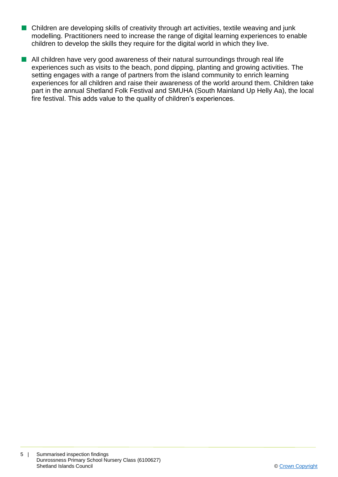- $\blacksquare$  Children are developing skills of creativity through art activities, textile weaving and junk modelling. Practitioners need to increase the range of digital learning experiences to enable children to develop the skills they require for the digital world in which they live.
- $\blacksquare$  All children have very good awareness of their natural surroundings through real life experiences such as visits to the beach, pond dipping, planting and growing activities. The setting engages with a range of partners from the island community to enrich learning experiences for all children and raise their awareness of the world around them. Children take part in the annual Shetland Folk Festival and SMUHA (South Mainland Up Helly Aa), the local fire festival. This adds value to the quality of children's experiences.